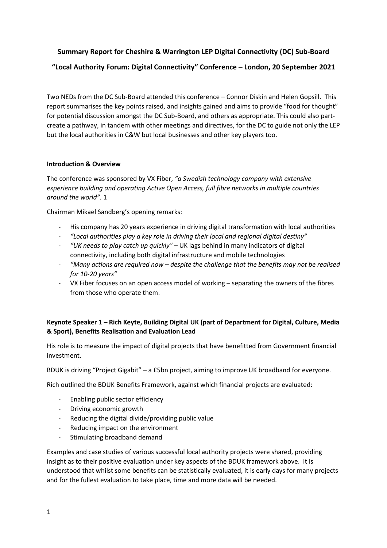# **Summary Report for Cheshire & Warrington LEP Digital Connectivity (DC) Sub-Board "Local Authority Forum: Digital Connectivity" Conference – London, 20 September 2021**

Two NEDs from the DC Sub-Board attended this conference – Connor Diskin and Helen Gopsill. This report summarises the key points raised, and insights gained and aims to provide "food for thought" for potential discussion amongst the DC Sub-Board, and others as appropriate. This could also partcreate a pathway, in tandem with other meetings and directives, for the DC to guide not only the LEP but the local authorities in C&W but local businesses and other key players too.

## **Introduction & Overview**

The conference was sponsored by VX Fiber, *"a Swedish technology company with extensive experience building and operating Active Open Access, full fibre networks in multiple countries around the world".* 1

Chairman Mikael Sandberg's opening remarks:

- His company has 20 years experience in driving digital transformation with local authorities
- *"Local authorities play a key role in driving their local and regional digital destiny"*
- *"UK needs to play catch up quickly"* UK lags behind in many indicators of digital connectivity, including both digital infrastructure and mobile technologies
- *"Many actions are required now – despite the challenge that the benefits may not be realised for 10-20 years"*
- VX Fiber focuses on an open access model of working separating the owners of the fibres from those who operate them.

## **Keynote Speaker 1 – Rich Keyte, Building Digital UK (part of Department for Digital, Culture, Media & Sport), Benefits Realisation and Evaluation Lead**

His role is to measure the impact of digital projects that have benefitted from Government financial investment.

BDUK is driving "Project Gigabit" – a £5bn project, aiming to improve UK broadband for everyone.

Rich outlined the BDUK Benefits Framework, against which financial projects are evaluated:

- Enabling public sector efficiency
- Driving economic growth
- Reducing the digital divide/providing public value
- Reducing impact on the environment
- Stimulating broadband demand

Examples and case studies of various successful local authority projects were shared, providing insight as to their positive evaluation under key aspects of the BDUK framework above. It is understood that whilst some benefits can be statistically evaluated, it is early days for many projects and for the fullest evaluation to take place, time and more data will be needed.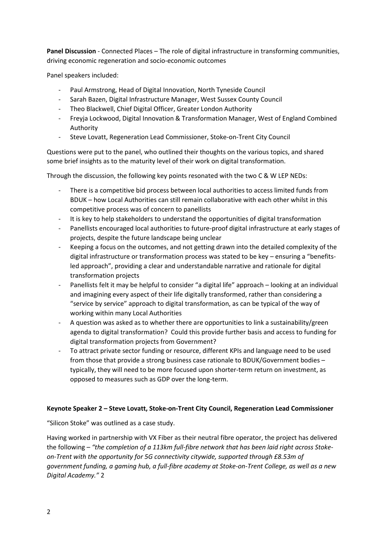**Panel Discussion** - Connected Places – The role of digital infrastructure in transforming communities, driving economic regeneration and socio-economic outcomes

Panel speakers included:

- Paul Armstrong, Head of Digital Innovation, North Tyneside Council
- Sarah Bazen, Digital Infrastructure Manager, West Sussex County Council
- Theo Blackwell, Chief Digital Officer, Greater London Authority
- Freyja Lockwood, Digital Innovation & Transformation Manager, West of England Combined Authority
- Steve Lovatt, Regeneration Lead Commissioner, Stoke-on-Trent City Council

Questions were put to the panel, who outlined their thoughts on the various topics, and shared some brief insights as to the maturity level of their work on digital transformation.

Through the discussion, the following key points resonated with the two C & W LEP NEDs:

- There is a competitive bid process between local authorities to access limited funds from BDUK – how Local Authorities can still remain collaborative with each other whilst in this competitive process was of concern to panellists
- It is key to help stakeholders to understand the opportunities of digital transformation
- Panellists encouraged local authorities to future-proof digital infrastructure at early stages of projects, despite the future landscape being unclear
- Keeping a focus on the outcomes, and not getting drawn into the detailed complexity of the digital infrastructure or transformation process was stated to be key – ensuring a "benefitsled approach", providing a clear and understandable narrative and rationale for digital transformation projects
- Panellists felt it may be helpful to consider "a digital life" approach looking at an individual and imagining every aspect of their life digitally transformed, rather than considering a "service by service" approach to digital transformation, as can be typical of the way of working within many Local Authorities
- A question was asked as to whether there are opportunities to link a sustainability/green agenda to digital transformation? Could this provide further basis and access to funding for digital transformation projects from Government?
- To attract private sector funding or resource, different KPIs and language need to be used from those that provide a strong business case rationale to BDUK/Government bodies – typically, they will need to be more focused upon shorter-term return on investment, as opposed to measures such as GDP over the long-term.

## **Keynote Speaker 2 – Steve Lovatt, Stoke-on-Trent City Council, Regeneration Lead Commissioner**

"Silicon Stoke" was outlined as a case study.

Having worked in partnership with VX Fiber as their neutral fibre operator, the project has delivered the following – *"the completion of a 113km full-fibre network that has been laid right across Stokeon-Trent with the opportunity for 5G connectivity citywide, supported through £8.53m of government funding, a gaming hub, a full-fibre academy at Stoke-on-Trent College, as well as a new Digital Academy."* 2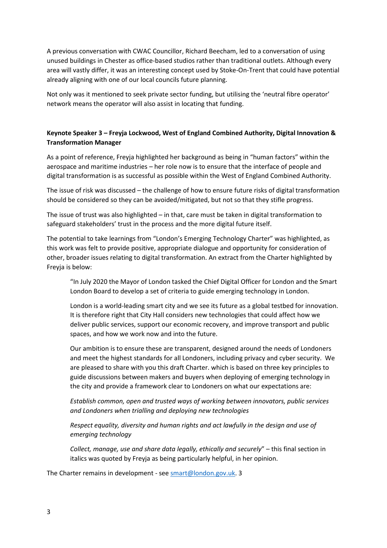A previous conversation with CWAC Councillor, Richard Beecham, led to a conversation of using unused buildings in Chester as office-based studios rather than traditional outlets. Although every area will vastly differ, it was an interesting concept used by Stoke-On-Trent that could have potential already aligning with one of our local councils future planning.

Not only was it mentioned to seek private sector funding, but utilising the 'neutral fibre operator' network means the operator will also assist in locating that funding.

## **Keynote Speaker 3 – Freyja Lockwood, West of England Combined Authority, Digital Innovation & Transformation Manager**

As a point of reference, Freyja highlighted her background as being in "human factors" within the aerospace and maritime industries – her role now is to ensure that the interface of people and digital transformation is as successful as possible within the West of England Combined Authority.

The issue of risk was discussed – the challenge of how to ensure future risks of digital transformation should be considered so they can be avoided/mitigated, but not so that they stifle progress.

The issue of trust was also highlighted – in that, care must be taken in digital transformation to safeguard stakeholders' trust in the process and the more digital future itself.

The potential to take learnings from "London's Emerging Technology Charter" was highlighted, as this work was felt to provide positive, appropriate dialogue and opportunity for consideration of other, broader issues relating to digital transformation. An extract from the Charter highlighted by Freyja is below:

"In July 2020 the Mayor of London tasked the Chief Digital Officer for London and the Smart London Board to develop a set of criteria to guide emerging technology in London.

London is a world-leading smart city and we see its future as a global testbed for innovation. It is therefore right that City Hall considers new technologies that could affect how we deliver public services, support our economic recovery, and improve transport and public spaces, and how we work now and into the future.

Our ambition is to ensure these are transparent, designed around the needs of Londoners and meet the highest standards for all Londoners, including privacy and cyber security. We are pleased to share with you this draft Charter. which is based on three key principles to guide discussions between makers and buyers when deploying of emerging technology in the city and provide a framework clear to Londoners on what our expectations are:

*Establish common, open and trusted ways of working between innovators, public services and Londoners when trialling and deploying new technologies* 

*Respect equality, diversity and human rights and act lawfully in the design and use of emerging technology* 

*Collect, manage, use and share data legally, ethically and securely*" – this final section in italics was quoted by Freyja as being particularly helpful, in her opinion.

The Charter remains in development - see [smart@london.gov.uk.](mailto:smart@london.gov.uk) 3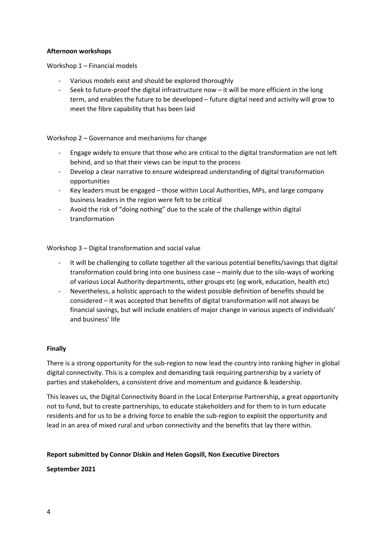#### **Afternoon workshops**

Workshop 1 – Financial models

- Various models exist and should be explored thoroughly
- Seek to future-proof the digital infrastructure now it will be more efficient in the long term, and enables the future to be developed – future digital need and activity will grow to meet the fibre capability that has been laid

## Workshop 2 – Governance and mechanisms for change

- Engage widely to ensure that those who are critical to the digital transformation are not left behind, and so that their views can be input to the process
- Develop a clear narrative to ensure widespread understanding of digital transformation opportunities
- Key leaders must be engaged those within Local Authorities, MPs, and large company business leaders in the region were felt to be critical
- Avoid the risk of "doing nothing" due to the scale of the challenge within digital transformation

#### Workshop 3 – Digital transformation and social value

- It will be challenging to collate together all the various potential benefits/savings that digital transformation could bring into one business case – mainly due to the silo-ways of working of various Local Authority departments, other groups etc (eg work, education, health etc)
- Nevertheless, a holistic approach to the widest possible definition of benefits should be considered – it was accepted that benefits of digital transformation will not always be financial savings, but will include enablers of major change in various aspects of individuals' and business' life

## **Finally**

There is a strong opportunity for the sub-region to now lead the country into ranking higher in global digital connectivity. This is a complex and demanding task requiring partnership by a variety of parties and stakeholders, a consistent drive and momentum and guidance & leadership.

This leaves us, the Digital Connectivity Board in the Local Enterprise Partnership, a great opportunity not to fund, but to create partnerships, to educate stakeholders and for them to in turn educate residents and for us to be a driving force to enable the sub-region to exploit the opportunity and lead in an area of mixed rural and urban connectivity and the benefits that lay there within.

#### **Report submitted by Connor Diskin and Helen Gopsill, Non Executive Directors**

#### **September 2021**